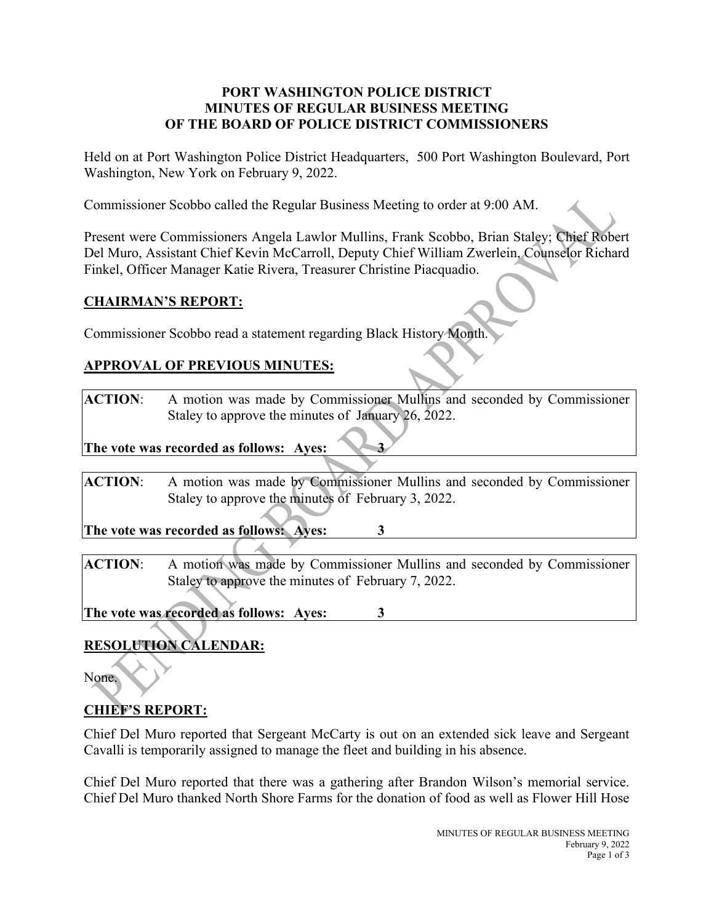#### **PORT WASHINGTON POLICE DISTRICT MINUTES OF REGULAR BUSINESS MEETING OF THE BOARD OF POLICE DISTRICT COMMISSIONERS**

Held on at Port Washington Police District Headquarters, 500 Port Washington Boulevard, Port Washington, New York on February 9, 2022.

Commissioner Scobbo called the Regular Business Meeting to order at 9:00 AM.

Present were Commissioners Angela Lawlor Mullins, Frank Scobbo, Brian Staley; Chief Robert Del Muro, Assistant Chief Kevin McCarroll, Deputy Chief William Zwerlein, Counselor Richard Finkel, Officer Manager Katie Rivera, Treasurer Christine Piacquadio.

### **CHAIRMAN'S REPORT:**

Commissioner Scobbo read a statement regarding Black History Month.

### **APPROVAL OF PREVIOUS MINUTES:**

**ACTION**: A motion was made by Commissioner Mullins and seconded by Commissioner Staley to approve the minutes of January 26, 2022.

**The vote was recorded as follows:** Ayes: 3

**ACTION**: A motion was made by Commissioner Mullins and seconded by Commissioner Staley to approve the minutes of February 3, 2022.

**The vote was recorded as follows: Ayes: 3**

**ACTION**: A motion was made by Commissioner Mullins and seconded by Commissioner Staley to approve the minutes of February 7, 2022.

**The vote was recorded as follows: Ayes: 3**

# **RESOLUTION CALENDAR:**

None.

# **CHIEF'S REPORT:**

Chief Del Muro reported that Sergeant McCarty is out on an extended sick leave and Sergeant Cavalli is temporarily assigned to manage the fleet and building in his absence.

Chief Del Muro reported that there was a gathering after Brandon Wilson's memorial service. Chief Del Muro thanked North Shore Farms for the donation of food as well as Flower Hill Hose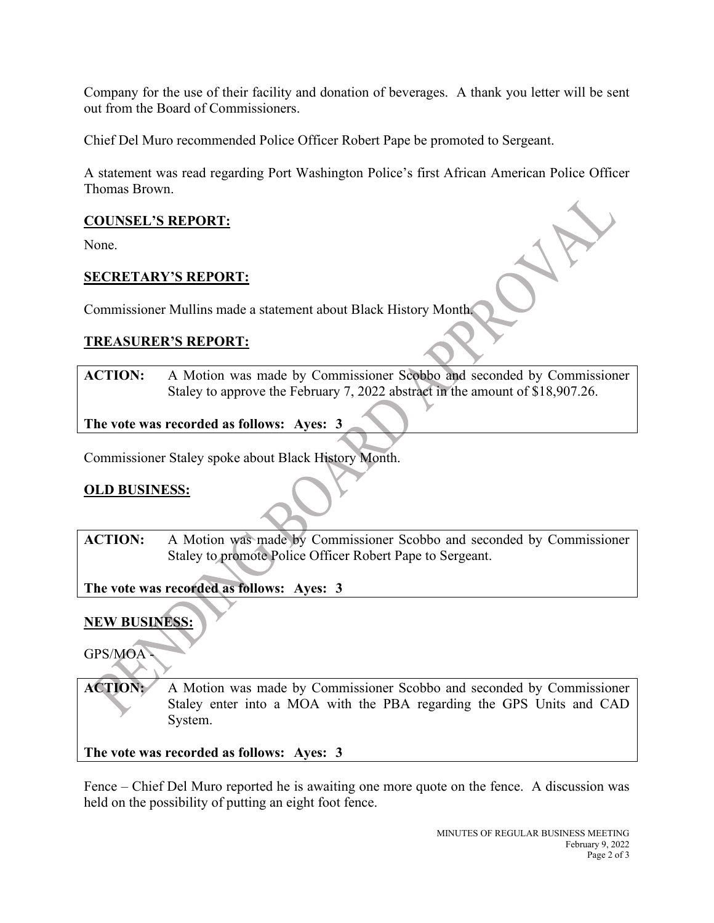Company for the use of their facility and donation of beverages. A thank you letter will be sent out from the Board of Commissioners.

Chief Del Muro recommended Police Officer Robert Pape be promoted to Sergeant.

A statement was read regarding Port Washington Police's first African American Police Officer Thomas Brown.

#### **COUNSEL'S REPORT:**

None.

### **SECRETARY'S REPORT:**

Commissioner Mullins made a statement about Black History Month.

### **TREASURER'S REPORT:**

**ACTION:** A Motion was made by Commissioner Scobbo and seconded by Commissioner Staley to approve the February 7, 2022 abstract in the amount of \$18,907.26.

**The vote was recorded as follows: Ayes: 3**

Commissioner Staley spoke about Black History Month.

### **OLD BUSINESS:**

**ACTION:** A Motion was made by Commissioner Scobbo and seconded by Commissioner Staley to promote Police Officer Robert Pape to Sergeant.

**The vote was recorded as follows: Ayes: 3**

### **NEW BUSINESS:**

GPS/MOA -

**ACTION:** A Motion was made by Commissioner Scobbo and seconded by Commissioner Staley enter into a MOA with the PBA regarding the GPS Units and CAD System.

**The vote was recorded as follows: Ayes: 3**

Fence – Chief Del Muro reported he is awaiting one more quote on the fence. A discussion was held on the possibility of putting an eight foot fence.